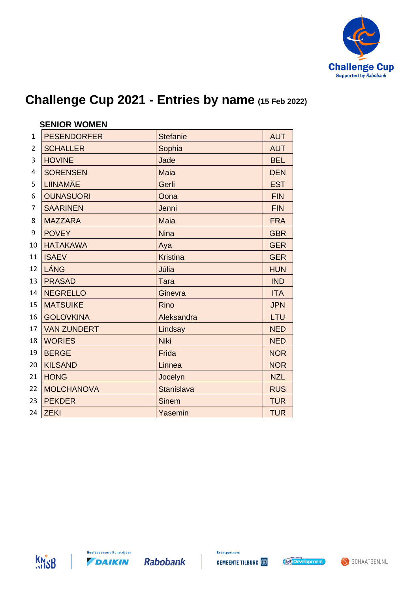

|                | <b>SENIOR WOMEN</b> |                   |            |  |
|----------------|---------------------|-------------------|------------|--|
| $\mathbf{1}$   | <b>PESENDORFER</b>  | <b>Stefanie</b>   | <b>AUT</b> |  |
| $\overline{2}$ | <b>SCHALLER</b>     | Sophia            | <b>AUT</b> |  |
| 3              | <b>HOVINE</b>       | Jade              | <b>BEL</b> |  |
| $\overline{4}$ | <b>SORENSEN</b>     | <b>Maia</b>       | <b>DEN</b> |  |
| 5              | <b>LIINAMÄE</b>     | Gerli             | <b>EST</b> |  |
| 6              | <b>OUNASUORI</b>    | Oona              | <b>FIN</b> |  |
| 7              | <b>SAARINEN</b>     | Jenni             | <b>FIN</b> |  |
| 8              | <b>MAZZARA</b>      | <b>Maia</b>       | <b>FRA</b> |  |
| 9              | <b>POVEY</b>        | <b>Nina</b>       | <b>GBR</b> |  |
| 10             | <b>HATAKAWA</b>     | Aya               | <b>GER</b> |  |
| 11             | <b>ISAEV</b>        | <b>Kristina</b>   | <b>GER</b> |  |
| 12             | LÁNG                | Júlia             | <b>HUN</b> |  |
| 13             | <b>PRASAD</b>       | <b>Tara</b>       | <b>IND</b> |  |
| 14             | <b>NEGRELLO</b>     | Ginevra           | <b>ITA</b> |  |
| 15             | <b>MATSUIKE</b>     | <b>Rino</b>       | <b>JPN</b> |  |
| 16             | <b>GOLOVKINA</b>    | Aleksandra        | LTU        |  |
| 17             | <b>VAN ZUNDERT</b>  | Lindsay           | <b>NED</b> |  |
| 18             | <b>WORIES</b>       | <b>Niki</b>       | <b>NED</b> |  |
| 19             | <b>BERGE</b>        | Frida             | <b>NOR</b> |  |
| 20             | <b>KILSAND</b>      | Linnea            | <b>NOR</b> |  |
| 21             | <b>HONG</b>         | Jocelyn           | <b>NZL</b> |  |
| 22             | <b>MOLCHANOVA</b>   | <b>Stanislava</b> | <b>RUS</b> |  |
| 23             | <b>PEKDER</b>       | <b>Sinem</b>      | <b>TUR</b> |  |
| 24             | <b>ZEKI</b>         | Yasemin           | <b>TUR</b> |  |





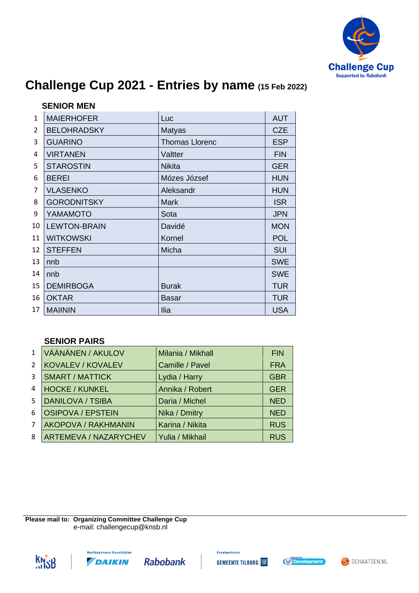

|              | <b>SENIOR MEN</b>   |                       |            |  |  |
|--------------|---------------------|-----------------------|------------|--|--|
| $\mathbf{1}$ | <b>MAIERHOFER</b>   | Luc                   | <b>AUT</b> |  |  |
| 2            | <b>BELOHRADSKY</b>  | <b>Matyas</b>         | <b>CZE</b> |  |  |
| 3            | <b>GUARINO</b>      | <b>Thomas Llorenc</b> | <b>ESP</b> |  |  |
| 4            | <b>VIRTANEN</b>     | Valtter               | <b>FIN</b> |  |  |
| 5            | <b>STAROSTIN</b>    | <b>Nikita</b>         | <b>GER</b> |  |  |
| 6            | <b>BEREI</b>        | Mózes József          | <b>HUN</b> |  |  |
| 7            | <b>VLASENKO</b>     | Aleksandr             | <b>HUN</b> |  |  |
| 8            | <b>GORODNITSKY</b>  | <b>Mark</b>           | <b>ISR</b> |  |  |
| 9            | YAMAMOTO            | Sota                  | <b>JPN</b> |  |  |
| 10           | <b>LEWTON-BRAIN</b> | Davidé                | <b>MON</b> |  |  |
| 11           | <b>WITKOWSKI</b>    | Kornel                | <b>POL</b> |  |  |
| 12           | <b>STEFFEN</b>      | Micha                 | SUI        |  |  |
| 13           | nnb                 |                       | <b>SWE</b> |  |  |
| 14           | nnb                 |                       | <b>SWE</b> |  |  |
| 15           | <b>DEMIRBOGA</b>    | <b>Burak</b>          | <b>TUR</b> |  |  |
| 16           | <b>OKTAR</b>        | Basar                 | <b>TUR</b> |  |  |
| 17           | <b>MAIININ</b>      | Ilia                  | <b>USA</b> |  |  |

#### **SENIOR PAIRS**

| $\mathbf{1}$   | VÄÄNÄNEN / AKULOV            | Milania / Mikhall | <b>FIN</b> |
|----------------|------------------------------|-------------------|------------|
| $\mathcal{L}$  | <b>KOVALEV / KOVALEV</b>     | Camille / Pavel   | <b>FRA</b> |
| 3              | <b>SMART / MATTICK</b>       | Lydia / Harry     | <b>GBR</b> |
| 4              | <b>HOCKE / KUNKEL</b>        | Annika / Robert   | <b>GER</b> |
| 5.             | <b>DANILOVA / TSIBA</b>      | Daria / Michel    | <b>NED</b> |
| 6              | <b>OSIPOVA / EPSTEIN</b>     | Nika / Dmitry     | <b>NED</b> |
| $\overline{7}$ | AKOPOVA / RAKHMANIN          | Karina / Nikita   | <b>RUS</b> |
| 8              | <b>ARTEMEVA / NAZARYCHEV</b> | Yulia / Mikhail   | <b>RUS</b> |
|                |                              |                   |            |

**Please mail to: Organizing Committee Challenge Cup** e-mail: challengecup@knsb.nl







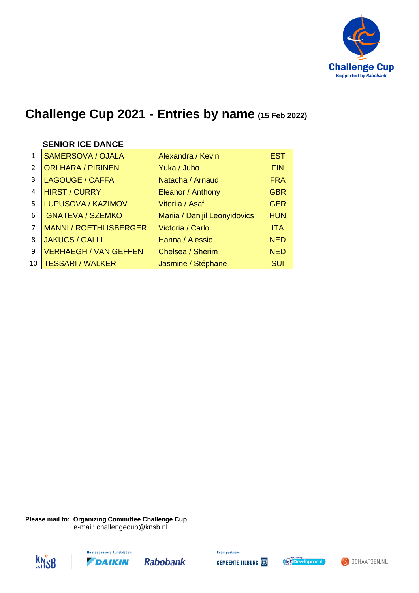

|                | <b>SENIOR ICE DANCE</b>       |                               |            |
|----------------|-------------------------------|-------------------------------|------------|
| $\mathbf{1}$   | <b>SAMERSOVA / OJALA</b>      | Alexandra / Kevin             | <b>EST</b> |
| $\overline{2}$ | <b>ORLHARA / PIRINEN</b>      | Yuka / Juho                   | <b>FIN</b> |
| 3              | <b>LAGOUGE / CAFFA</b>        | Natacha / Arnaud              | <b>FRA</b> |
| 4              | <b>HIRST / CURRY</b>          | Eleanor / Anthony             | <b>GBR</b> |
| 5              | <b>LUPUSOVA / KAZIMOV</b>     | Vitoriia / Asaf               | <b>GER</b> |
| 6              | <b>IGNATEVA / SZEMKO</b>      | Mariia / Danijil Leonyidovics | <b>HUN</b> |
| 7              | <b>MANNI / ROETHLISBERGER</b> | Victoria / Carlo              | <b>ITA</b> |
| 8              | <b>JAKUCS / GALLI</b>         | Hanna / Alessio               | <b>NED</b> |
| 9              | <b>VERHAEGH / VAN GEFFEN</b>  | Chelsea / Sherim              | <b>NED</b> |
| 10             | <b>TESSARI / WALKER</b>       | Jasmine / Stéphane            | <b>SUI</b> |

**Please mail to: Organizing Committee Challenge Cup** e-mail: challengecup@knsb.nl







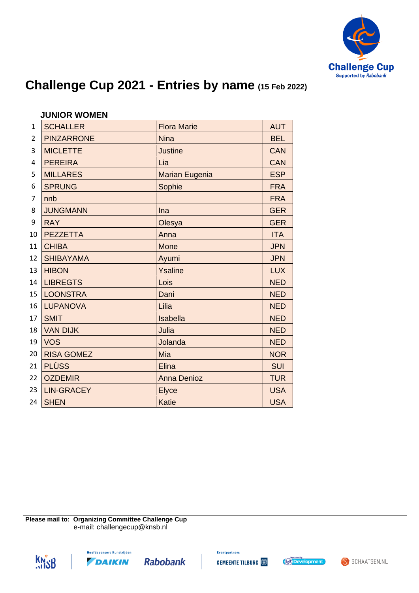

|                | <b>JUNIOR WOMEN</b> |                       |            |
|----------------|---------------------|-----------------------|------------|
| $\mathbf{1}$   | <b>SCHALLER</b>     | <b>Flora Marie</b>    | <b>AUT</b> |
| $\overline{2}$ | <b>PINZARRONE</b>   | <b>Nina</b>           | <b>BEL</b> |
| 3              | <b>MICLETTE</b>     | <b>Justine</b>        | <b>CAN</b> |
| 4              | <b>PEREIRA</b>      | Lia                   | <b>CAN</b> |
| 5              | <b>MILLARES</b>     | <b>Marian Eugenia</b> | <b>ESP</b> |
| 6              | <b>SPRUNG</b>       | Sophie                | <b>FRA</b> |
| 7              | nnb                 |                       | <b>FRA</b> |
| 8              | <b>JUNGMANN</b>     | Ina                   | <b>GER</b> |
| 9              | <b>RAY</b>          | Olesya                | <b>GER</b> |
| 10             | <b>PEZZETTA</b>     | Anna                  | <b>ITA</b> |
| 11             | <b>CHIBA</b>        | Mone                  | <b>JPN</b> |
| 12             | <b>SHIBAYAMA</b>    | Ayumi                 | <b>JPN</b> |
| 13             | <b>HIBON</b>        | Ysaline               | <b>LUX</b> |
| 14             | <b>LIBREGTS</b>     | Lois                  | <b>NED</b> |
| 15             | <b>LOONSTRA</b>     | Dani                  | <b>NED</b> |
| 16             | <b>LUPANOVA</b>     | Lilia                 | <b>NED</b> |
| 17             | <b>SMIT</b>         | Isabella              | <b>NED</b> |
| 18             | <b>VAN DIJK</b>     | Julia                 | <b>NED</b> |
| 19             | <b>VOS</b>          | Jolanda               | <b>NED</b> |
| 20             | <b>RISA GOMEZ</b>   | Mia                   | <b>NOR</b> |
| 21             | <b>PLÜSS</b>        | <b>Elina</b>          | <b>SUI</b> |
| 22             | <b>OZDEMIR</b>      | <b>Anna Denioz</b>    | <b>TUR</b> |
| 23             | <b>LIN-GRACEY</b>   | <b>Elyce</b>          | <b>USA</b> |
| 24             | <b>SHEN</b>         | <b>Katie</b>          | <b>USA</b> |

**Please mail to: Organizing Committee Challenge Cup** e-mail: challengecup@knsb.nl







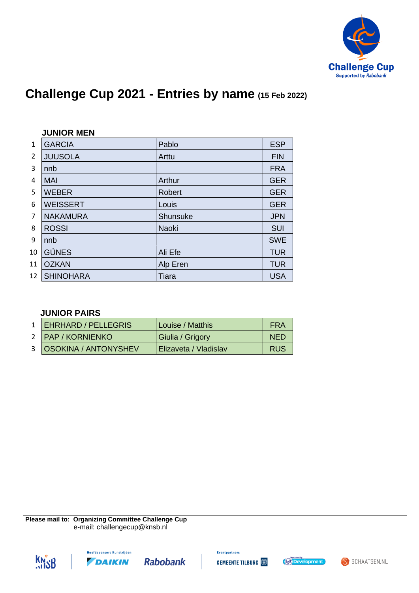

|                | <b>JUNIOR MEN</b> |               |            |
|----------------|-------------------|---------------|------------|
| $\mathbf{1}$   | <b>GARCIA</b>     | Pablo         | <b>ESP</b> |
| $\overline{2}$ | <b>JUUSOLA</b>    | Arttu         | <b>FIN</b> |
| 3              | nnb               |               | <b>FRA</b> |
| 4              | <b>MAI</b>        | Arthur        | <b>GER</b> |
| 5              | <b>WEBER</b>      | <b>Robert</b> | <b>GER</b> |
| 6              | <b>WEISSERT</b>   | Louis         | <b>GER</b> |
| 7              | <b>NAKAMURA</b>   | Shunsuke      | <b>JPN</b> |
| 8              | <b>ROSSI</b>      | <b>Naoki</b>  | <b>SUI</b> |
| 9              | nnb               |               | <b>SWE</b> |
| 10             | <b>GÜNES</b>      | Ali Efe       | <b>TUR</b> |
| 11             | <b>OZKAN</b>      | Alp Eren      | <b>TUR</b> |
| 12             | <b>SHINOHARA</b>  | Tiara         | <b>USA</b> |

#### **JUNIOR PAIRS**

| 1   EHRHARD / PELLEGRIS  | Louise / Matthis      | FRA        |
|--------------------------|-----------------------|------------|
| 2   PAP / KORNIENKO      | Giulia / Grigory      | <b>NED</b> |
| 3   OSOKINA / ANTONYSHEV | Elizaveta / Vladislav | <b>RUS</b> |

**Please mail to: Organizing Committee Challenge Cup** e-mail: challengecup@knsb.nl









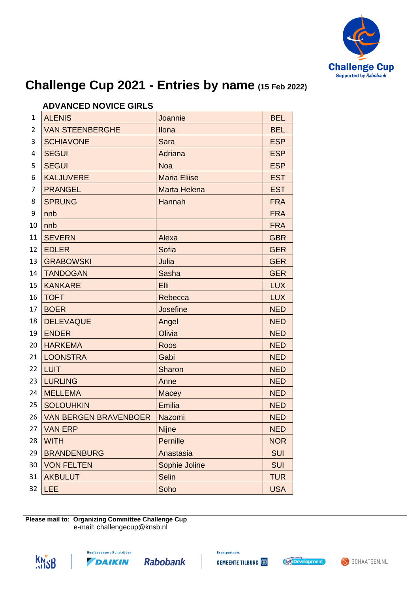

|    | AD YANULD NU YIUL UIILLU     |                     |            |
|----|------------------------------|---------------------|------------|
| 1  | <b>ALENIS</b>                | Joannie             | <b>BEL</b> |
| 2  | <b>VAN STEENBERGHE</b>       | Ilona               | <b>BEL</b> |
| 3  | <b>SCHIAVONE</b>             | <b>Sara</b>         | <b>ESP</b> |
| 4  | <b>SEGUI</b>                 | Adriana             | <b>ESP</b> |
| 5  | <b>SEGUI</b>                 | <b>Noa</b>          | <b>ESP</b> |
| 6  | <b>KALJUVERE</b>             | <b>Maria Eliise</b> | <b>EST</b> |
| 7  | <b>PRANGEL</b>               | Marta Helena        | <b>EST</b> |
| 8  | <b>SPRUNG</b>                | Hannah              | <b>FRA</b> |
| 9  | nnb                          |                     | <b>FRA</b> |
| 10 | nnb                          |                     | <b>FRA</b> |
| 11 | <b>SEVERN</b>                | Alexa               | <b>GBR</b> |
| 12 | <b>EDLER</b>                 | Sofia               | <b>GER</b> |
| 13 | <b>GRABOWSKI</b>             | Julia               | <b>GER</b> |
| 14 | <b>TANDOGAN</b>              | Sasha               | <b>GER</b> |
| 15 | <b>KANKARE</b>               | Elli                | <b>LUX</b> |
| 16 | <b>TOFT</b>                  | Rebecca             | <b>LUX</b> |
| 17 | <b>BOER</b>                  | Josefine            | <b>NED</b> |
| 18 | <b>DELEVAQUE</b>             | Angel               | <b>NED</b> |
| 19 | <b>ENDER</b>                 | Olivia              | <b>NED</b> |
| 20 | <b>HARKEMA</b>               | Roos                | <b>NED</b> |
| 21 | <b>LOONSTRA</b>              | Gabi                | <b>NED</b> |
| 22 | <b>LUIT</b>                  | Sharon              | <b>NED</b> |
| 23 | <b>LURLING</b>               | Anne                | <b>NED</b> |
| 24 | <b>MELLEMA</b>               | Macey               | <b>NED</b> |
| 25 | <b>SOLOUHKIN</b>             | <b>Emilia</b>       | <b>NED</b> |
| 26 | <b>VAN BERGEN BRAVENBOER</b> | Nazomi              | <b>NED</b> |
| 27 | <b>VAN ERP</b>               | <b>Nijne</b>        | <b>NED</b> |
| 28 | <b>WITH</b>                  | Pernille            | <b>NOR</b> |
| 29 | <b>BRANDENBURG</b>           | Anastasia           | <b>SUI</b> |
| 30 | <b>VON FELTEN</b>            | Sophie Joline       | <b>SUI</b> |
| 31 | <b>AKBULUT</b>               | <b>Selin</b>        | <b>TUR</b> |
| 32 | <b>LEE</b>                   | Soho                | <b>USA</b> |
|    |                              |                     |            |

#### **ADVANCED NOVICE GIRLS**

**Please mail to: Organizing Committee Challenge Cup** e-mail: challengecup@knsb.nl